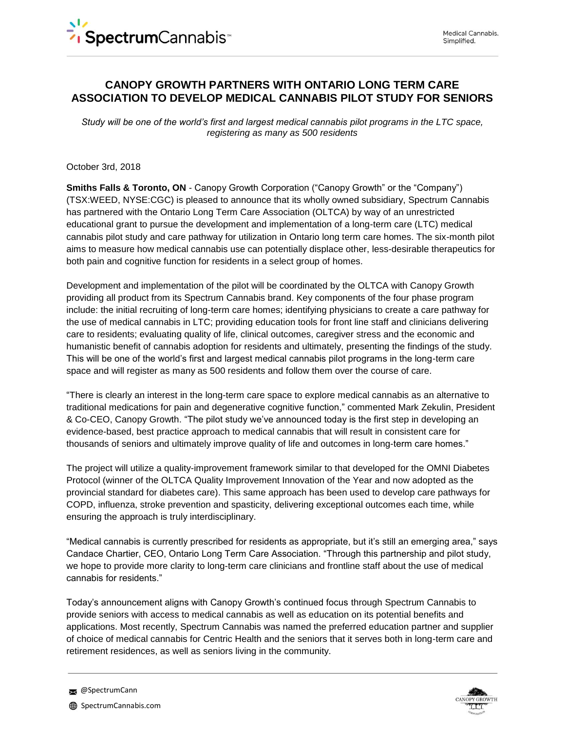# **CANOPY GROWTH PARTNERS WITH ONTARIO LONG TERM CARE ASSOCIATION TO DEVELOP MEDICAL CANNABIS PILOT STUDY FOR SENIORS**

*Study will be one of the world's first and largest medical cannabis pilot programs in the LTC space, registering as many as 500 residents*

October 3rd, 2018

**Smiths Falls & Toronto, ON** - Canopy Growth Corporation ("Canopy Growth" or the "Company") (TSX:WEED, NYSE:CGC) is pleased to announce that its wholly owned subsidiary, Spectrum Cannabis has partnered with the Ontario Long Term Care Association (OLTCA) by way of an unrestricted educational grant to pursue the development and implementation of a long-term care (LTC) medical cannabis pilot study and care pathway for utilization in Ontario long term care homes. The six-month pilot aims to measure how medical cannabis use can potentially displace other, less-desirable therapeutics for both pain and cognitive function for residents in a select group of homes.

Development and implementation of the pilot will be coordinated by the OLTCA with Canopy Growth providing all product from its Spectrum Cannabis brand. Key components of the four phase program include: the initial recruiting of long-term care homes; identifying physicians to create a care pathway for the use of medical cannabis in LTC; providing education tools for front line staff and clinicians delivering care to residents; evaluating quality of life, clinical outcomes, caregiver stress and the economic and humanistic benefit of cannabis adoption for residents and ultimately, presenting the findings of the study. This will be one of the world's first and largest medical cannabis pilot programs in the long-term care space and will register as many as 500 residents and follow them over the course of care.

"There is clearly an interest in the long-term care space to explore medical cannabis as an alternative to traditional medications for pain and degenerative cognitive function," commented Mark Zekulin, President & Co-CEO, Canopy Growth. "The pilot study we've announced today is the first step in developing an evidence-based, best practice approach to medical cannabis that will result in consistent care for thousands of seniors and ultimately improve quality of life and outcomes in long-term care homes."

The project will utilize a quality-improvement framework similar to that developed for the OMNI Diabetes Protocol (winner of the OLTCA Quality Improvement Innovation of the Year and now adopted as the provincial standard for diabetes care). This same approach has been used to develop care pathways for COPD, influenza, stroke prevention and spasticity, delivering exceptional outcomes each time, while ensuring the approach is truly interdisciplinary.

"Medical cannabis is currently prescribed for residents as appropriate, but it's still an emerging area," says Candace Chartier, CEO, Ontario Long Term Care Association. "Through this partnership and pilot study, we hope to provide more clarity to long-term care clinicians and frontline staff about the use of medical cannabis for residents."

Today's announcement aligns with Canopy Growth's continued focus through Spectrum Cannabis to provide seniors with access to medical cannabis as well as education on its potential benefits and applications. Most recently, Spectrum Cannabis was named the preferred education partner and supplier of choice of medical cannabis for Centric Health and the seniors that it serves both in long-term care and retirement residences, as well as seniors living in the community.



**@SpectrumCann**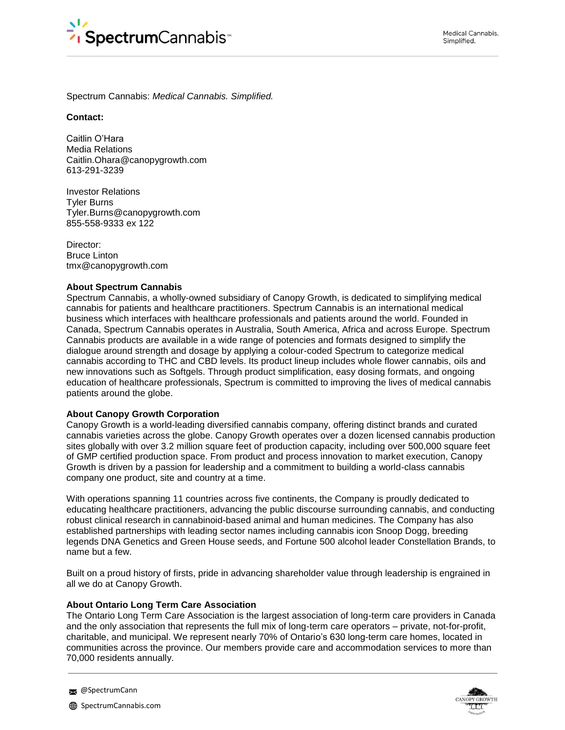

Spectrum Cannabis: *Medical Cannabis. Simplified.*

#### **Contact:**

Caitlin O'Hara Media Relations Caitlin.Ohara@canopygrowth.com 613-291-3239

Investor Relations Tyler Burns Tyler.Burns@canopygrowth.com 855-558-9333 ex 122

Director: Bruce Linton tmx@canopygrowth.com

## **About Spectrum Cannabis**

Spectrum Cannabis, a wholly-owned subsidiary of Canopy Growth, is dedicated to simplifying medical cannabis for patients and healthcare practitioners. Spectrum Cannabis is an international medical business which interfaces with healthcare professionals and patients around the world. Founded in Canada, Spectrum Cannabis operates in Australia, South America, Africa and across Europe. Spectrum Cannabis products are available in a wide range of potencies and formats designed to simplify the dialogue around strength and dosage by applying a colour-coded Spectrum to categorize medical cannabis according to THC and CBD levels. Its product lineup includes whole flower cannabis, oils and new innovations such as Softgels. Through product simplification, easy dosing formats, and ongoing education of healthcare professionals, Spectrum is committed to improving the lives of medical cannabis patients around the globe.

#### **About Canopy Growth Corporation**

Canopy Growth is a world-leading diversified cannabis company, offering distinct brands and curated cannabis varieties across the globe. Canopy Growth operates over a dozen licensed cannabis production sites globally with over 3.2 million square feet of production capacity, including over 500,000 square feet of GMP certified production space. From product and process innovation to market execution, Canopy Growth is driven by a passion for leadership and a commitment to building a world-class cannabis company one product, site and country at a time.

With operations spanning 11 countries across five continents, the Company is proudly dedicated to educating healthcare practitioners, advancing the public discourse surrounding cannabis, and conducting robust clinical research in cannabinoid-based animal and human medicines. The Company has also established partnerships with leading sector names including cannabis icon Snoop Dogg, breeding legends DNA Genetics and Green House seeds, and Fortune 500 alcohol leader Constellation Brands, to name but a few.

Built on a proud history of firsts, pride in advancing shareholder value through leadership is engrained in all we do at Canopy Growth.

# **About Ontario Long Term Care Association**

The Ontario Long Term Care Association is the largest association of long-term care providers in Canada and the only association that represents the full mix of long-term care operators – private, not-for-profit, charitable, and municipal. We represent nearly 70% of Ontario's 630 long-term care homes, located in communities across the province. Our members provide care and accommodation services to more than 70,000 residents annually.



**@SpectrumCann**